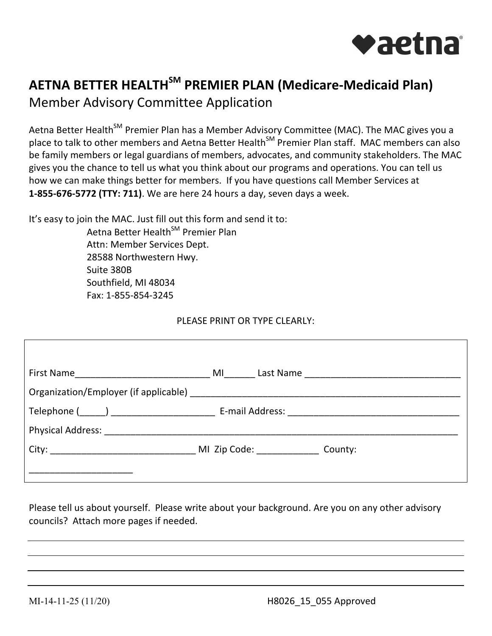

## **AETNA BETTER HEALTHSM PREMIER PLAN (Medicare-Medicaid Plan)**

Member Advisory Committee Application

Aetna Better Health<sup>SM</sup> Premier Plan has a Member Advisory Committee (MAC). The MAC gives you a place to talk to other members and Aetna Better Health<sup>SM</sup> Premier Plan staff. MAC members can also be family members or legal guardians of members, advocates, and community stakeholders. The MAC gives you the chance to tell us what you think about our programs and operations. You can tell us how we can make things better for members. If you have questions call Member Services at **1-855-676-5772 (TTY: 711)**. We are here 24 hours a day, seven days a week.

It's easy to join the MAC. Just fill out this form and send it to:

Aetna Better Health<sup>SM</sup> Premier Plan Attn: Member Services Dept. 28588 Northwestern Hwy. Suite 380B Southfield, MI 48034 Fax: 1-855-854-3245

## PLEASE PRINT OR TYPE CLEARLY:

 Please tell us about yourself. Please write about your background. Are you on any other advisory councils? Attach more pages if needed.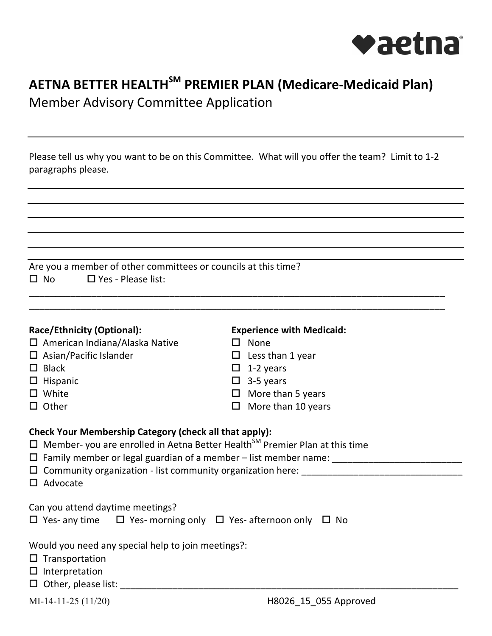

## **AETNA BETTER HEALTHSM PREMIER PLAN (Medicare-Medicaid Plan)**  Member Advisory Committee Application

Please tell us why you want to be on this Committee. What will you offer the team? Limit to 1-2 paragraphs please.

| Are you a member of other committees or councils at this time?                                 |                                                                   |  |  |  |  |
|------------------------------------------------------------------------------------------------|-------------------------------------------------------------------|--|--|--|--|
| $\Box$ No $\Box$ Yes - Please list:                                                            |                                                                   |  |  |  |  |
|                                                                                                |                                                                   |  |  |  |  |
|                                                                                                |                                                                   |  |  |  |  |
| Race/Ethnicity (Optional):                                                                     | <b>Experience with Medicaid:</b>                                  |  |  |  |  |
| $\Box$ American Indiana/Alaska Native                                                          | $\square$ None                                                    |  |  |  |  |
| $\Box$ Asian/Pacific Islander                                                                  | $\Box$ Less than 1 year                                           |  |  |  |  |
| $\Box$ Black                                                                                   | $\Box$ 1-2 years                                                  |  |  |  |  |
| $\Box$ Hispanic                                                                                | $\Box$ 3-5 years                                                  |  |  |  |  |
| $\square$ White                                                                                | $\Box$ More than 5 years                                          |  |  |  |  |
| $\Box$ Other                                                                                   | $\Box$ More than 10 years                                         |  |  |  |  |
|                                                                                                |                                                                   |  |  |  |  |
| Check Your Membership Category (check all that apply):                                         |                                                                   |  |  |  |  |
| $\Box$ Member- you are enrolled in Aetna Better Health <sup>SM</sup> Premier Plan at this time |                                                                   |  |  |  |  |
|                                                                                                | $\Box$ Community organization - list community organization here: |  |  |  |  |
| $\Box$ Advocate                                                                                |                                                                   |  |  |  |  |
|                                                                                                |                                                                   |  |  |  |  |
| Can you attend daytime meetings?                                                               |                                                                   |  |  |  |  |
| $\Box$ Yes- any time $\Box$ Yes- morning only $\Box$ Yes- afternoon only $\Box$ No             |                                                                   |  |  |  |  |
|                                                                                                |                                                                   |  |  |  |  |
| Would you need any special help to join meetings?:                                             |                                                                   |  |  |  |  |
| $\square$ Transportation                                                                       |                                                                   |  |  |  |  |
| $\Box$ Interpretation                                                                          |                                                                   |  |  |  |  |
| $\Box$ Other, please list:                                                                     |                                                                   |  |  |  |  |

MI-14-11-25 (11/20)